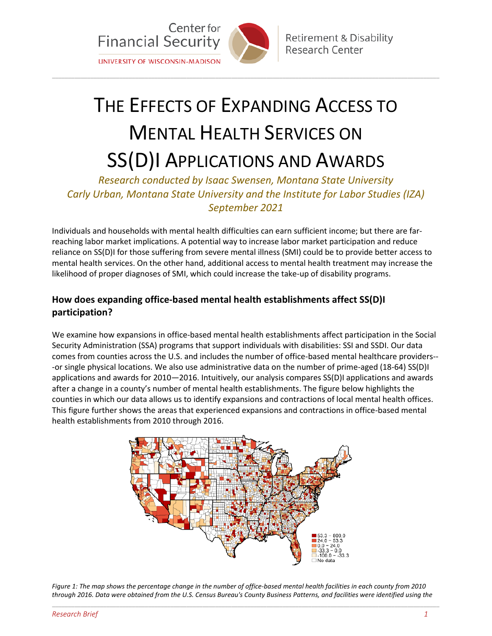

# THE EFFECTS OF EXPANDING ACCESS TO MENTAL HEALTH SERVICES ON SS(D)I APPLICATIONS AND AWARDS

\_\_\_\_\_\_\_\_\_\_\_\_\_\_\_\_\_\_\_\_\_\_\_\_\_\_\_\_\_\_\_\_\_\_\_\_\_\_\_\_\_\_\_\_\_\_\_\_\_\_\_\_\_\_\_\_\_\_\_\_\_\_\_\_\_\_\_\_\_\_\_\_\_\_\_\_\_\_\_\_\_\_\_\_\_\_\_\_\_\_\_\_\_\_\_\_\_\_\_\_\_\_\_\_\_\_\_\_\_\_\_\_\_\_\_\_\_\_\_\_\_

*Research conducted by Isaac Swensen, Montana State University Carly Urban, Montana State University and the Institute for Labor Studies (IZA) September 2021*

Individuals and households with mental health difficulties can earn sufficient income; but there are farreaching labor market implications. A potential way to increase labor market participation and reduce reliance on SS(D)I for those suffering from severe mental illness (SMI) could be to provide better access to mental health services. On the other hand, additional access to mental health treatment may increase the likelihood of proper diagnoses of SMI, which could increase the take-up of disability programs.

## **How does expanding office-based mental health establishments affect SS(D)I participation?**

We examine how expansions in office-based mental health establishments affect participation in the Social Security Administration (SSA) programs that support individuals with disabilities: SSI and SSDI. Our data comes from counties across the U.S. and includes the number of office-based mental healthcare providers-- -or single physical locations. We also use administrative data on the number of prime-aged (18-64) SS(D)I applications and awards for 2010—2016. Intuitively, our analysis compares SS(D)I applications and awards after a change in a county's number of mental health establishments. The figure below highlights the counties in which our data allows us to identify expansions and contractions of local mental health offices. This figure further shows the areas that experienced expansions and contractions in office-based mental health establishments from 2010 through 2016.



\_\_\_\_\_\_\_\_\_\_\_\_\_\_\_\_\_\_\_\_\_\_\_\_\_\_\_\_\_\_\_\_\_\_\_\_\_\_\_\_\_\_\_\_\_\_\_\_\_\_\_\_\_\_\_\_\_\_\_\_\_\_\_\_\_\_\_\_\_\_\_\_\_\_\_\_\_\_\_\_\_\_\_\_\_\_\_\_\_\_\_\_\_\_\_\_\_\_\_\_\_\_\_\_\_\_\_\_\_\_\_\_\_\_\_\_\_\_\_\_\_ *Figure 1: The map shows the percentage change in the number of office-based mental health facilities in each county from 2010 through 2016. Data were obtained from the U.S. Census Bureau's County Business Patterns, and facilities were identified using the*